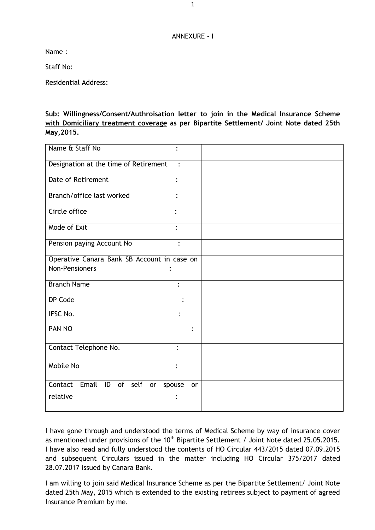## ANNEXURE - I

Name :

Staff No:

Residential Address:

**Sub: Willingness/Consent/Authroisation letter to join in the Medical Insurance Scheme with Domiciliary treatment coverage as per Bipartite Settlement/ Joint Note dated 25th May,2015.**

| Name & Staff No                             |                |
|---------------------------------------------|----------------|
| Designation at the time of Retirement       | $\ddot{\cdot}$ |
| <b>Date of Retirement</b><br>$\ddot{\cdot}$ |                |
| Branch/office last worked                   |                |
| Circle office                               |                |
| Mode of Exit                                |                |
| Pension paying Account No                   |                |
| Operative Canara Bank SB Account in case on |                |
| <b>Non-Pensioners</b>                       |                |
| <b>Branch Name</b>                          | $\ddot{\cdot}$ |
| DP Code                                     |                |
| IFSC No.                                    |                |
| PAN NO                                      | $\ddot{\cdot}$ |
| Contact Telephone No.                       |                |
| Mobile No                                   |                |
| Contact<br>Email ID of self<br>or<br>spouse | or             |
| relative                                    |                |

I have gone through and understood the terms of Medical Scheme by way of insurance cover as mentioned under provisions of the  $10<sup>th</sup>$  Bipartite Settlement / Joint Note dated 25.05.2015. I have also read and fully understood the contents of HO Circular 443/2015 dated 07.09.2015 and subsequent Circulars issued in the matter including HO Circular 375/2017 dated 28.07.2017 issued by Canara Bank.

I am willing to join said Medical Insurance Scheme as per the Bipartite Settlement/ Joint Note dated 25th May, 2015 which is extended to the existing retirees subject to payment of agreed Insurance Premium by me.